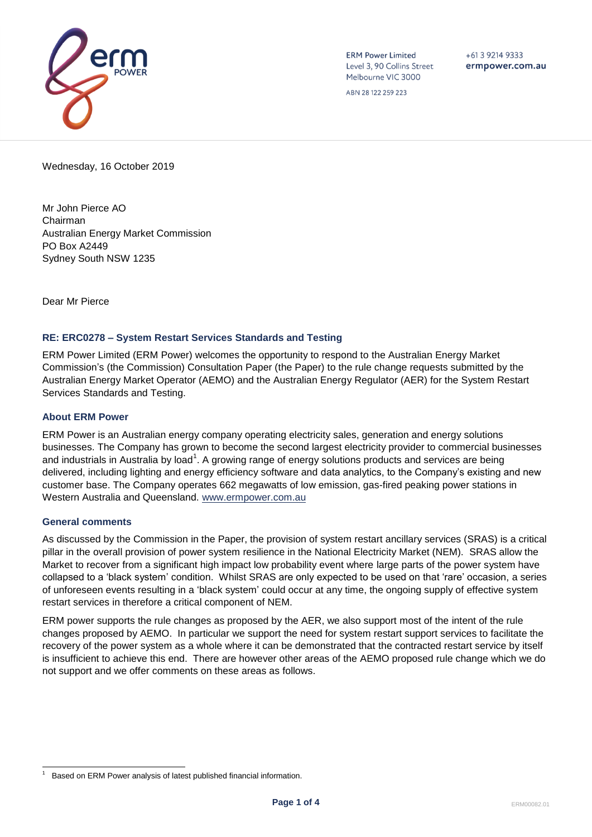

**ERM Power Limited** Level 3, 90 Collins Street Melbourne VIC 3000

 $+61392149333$ ermpower.com.au

ABN 28 122 259 223

Wednesday, 16 October 2019

Mr John Pierce AO Chairman Australian Energy Market Commission PO Box A2449 Sydney South NSW 1235

Dear Mr Pierce

# **RE: ERC0278 – System Restart Services Standards and Testing**

ERM Power Limited (ERM Power) welcomes the opportunity to respond to the Australian Energy Market Commission's (the Commission) Consultation Paper (the Paper) to the rule change requests submitted by the Australian Energy Market Operator (AEMO) and the Australian Energy Regulator (AER) for the System Restart Services Standards and Testing.

### **About ERM Power**

ERM Power is an Australian energy company operating electricity sales, generation and energy solutions businesses. The Company has grown to become the second largest electricity provider to commercial businesses and industrials in Australia by load<sup>1</sup>. A growing range of energy solutions products and services are being delivered, including lighting and energy efficiency software and data analytics, to the Company's existing and new customer base. The Company operates 662 megawatts of low emission, gas-fired peaking power stations in Western Australia and Queensland. [www.ermpower.com.au](http://www.ermpower.com.au/)

#### **General comments**

As discussed by the Commission in the Paper, the provision of system restart ancillary services (SRAS) is a critical pillar in the overall provision of power system resilience in the National Electricity Market (NEM). SRAS allow the Market to recover from a significant high impact low probability event where large parts of the power system have collapsed to a 'black system' condition. Whilst SRAS are only expected to be used on that 'rare' occasion, a series of unforeseen events resulting in a 'black system' could occur at any time, the ongoing supply of effective system restart services in therefore a critical component of NEM.

ERM power supports the rule changes as proposed by the AER, we also support most of the intent of the rule changes proposed by AEMO. In particular we support the need for system restart support services to facilitate the recovery of the power system as a whole where it can be demonstrated that the contracted restart service by itself is insufficient to achieve this end. There are however other areas of the AEMO proposed rule change which we do not support and we offer comments on these areas as follows.

l 1 Based on ERM Power analysis of latest published financial information.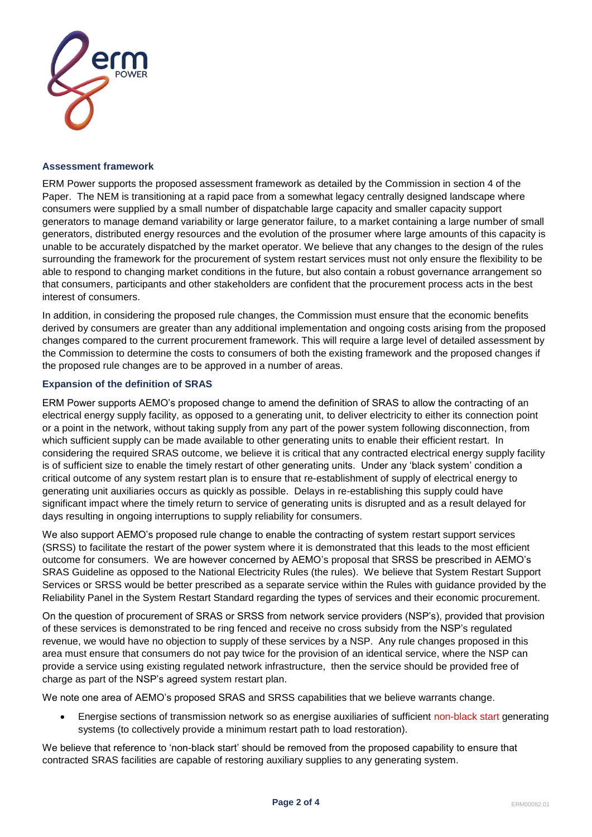

### **Assessment framework**

ERM Power supports the proposed assessment framework as detailed by the Commission in section 4 of the Paper. The NEM is transitioning at a rapid pace from a somewhat legacy centrally designed landscape where consumers were supplied by a small number of dispatchable large capacity and smaller capacity support generators to manage demand variability or large generator failure, to a market containing a large number of small generators, distributed energy resources and the evolution of the prosumer where large amounts of this capacity is unable to be accurately dispatched by the market operator. We believe that any changes to the design of the rules surrounding the framework for the procurement of system restart services must not only ensure the flexibility to be able to respond to changing market conditions in the future, but also contain a robust governance arrangement so that consumers, participants and other stakeholders are confident that the procurement process acts in the best interest of consumers.

In addition, in considering the proposed rule changes, the Commission must ensure that the economic benefits derived by consumers are greater than any additional implementation and ongoing costs arising from the proposed changes compared to the current procurement framework. This will require a large level of detailed assessment by the Commission to determine the costs to consumers of both the existing framework and the proposed changes if the proposed rule changes are to be approved in a number of areas.

### **Expansion of the definition of SRAS**

ERM Power supports AEMO's proposed change to amend the definition of SRAS to allow the contracting of an electrical energy supply facility, as opposed to a generating unit, to deliver electricity to either its connection point or a point in the network, without taking supply from any part of the power system following disconnection, from which sufficient supply can be made available to other generating units to enable their efficient restart. In considering the required SRAS outcome, we believe it is critical that any contracted electrical energy supply facility is of sufficient size to enable the timely restart of other generating units. Under any 'black system' condition a critical outcome of any system restart plan is to ensure that re-establishment of supply of electrical energy to generating unit auxiliaries occurs as quickly as possible. Delays in re-establishing this supply could have significant impact where the timely return to service of generating units is disrupted and as a result delayed for days resulting in ongoing interruptions to supply reliability for consumers.

We also support AEMO's proposed rule change to enable the contracting of system restart support services (SRSS) to facilitate the restart of the power system where it is demonstrated that this leads to the most efficient outcome for consumers. We are however concerned by AEMO's proposal that SRSS be prescribed in AEMO's SRAS Guideline as opposed to the National Electricity Rules (the rules). We believe that System Restart Support Services or SRSS would be better prescribed as a separate service within the Rules with guidance provided by the Reliability Panel in the System Restart Standard regarding the types of services and their economic procurement.

On the question of procurement of SRAS or SRSS from network service providers (NSP's), provided that provision of these services is demonstrated to be ring fenced and receive no cross subsidy from the NSP's regulated revenue, we would have no objection to supply of these services by a NSP. Any rule changes proposed in this area must ensure that consumers do not pay twice for the provision of an identical service, where the NSP can provide a service using existing regulated network infrastructure, then the service should be provided free of charge as part of the NSP's agreed system restart plan.

We note one area of AEMO's proposed SRAS and SRSS capabilities that we believe warrants change.

 Energise sections of transmission network so as energise auxiliaries of sufficient non-black start generating systems (to collectively provide a minimum restart path to load restoration).

We believe that reference to 'non-black start' should be removed from the proposed capability to ensure that contracted SRAS facilities are capable of restoring auxiliary supplies to any generating system.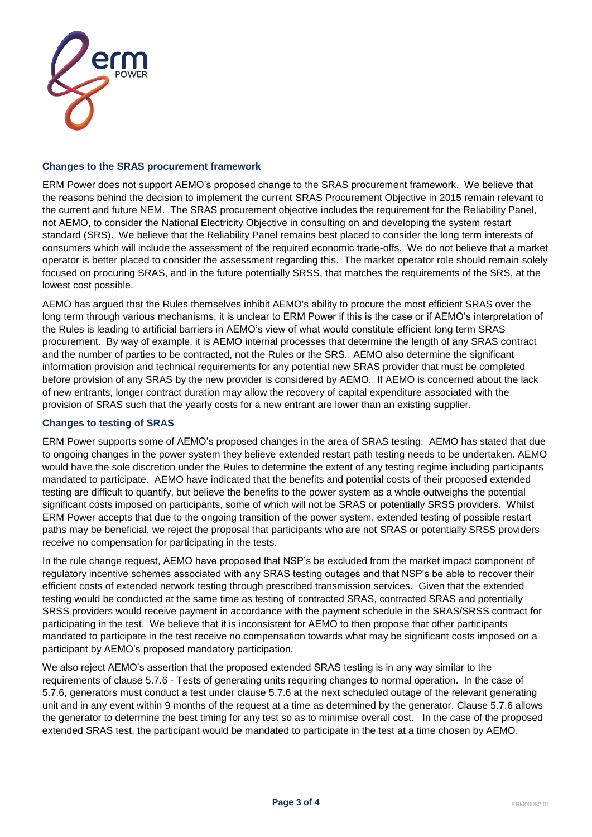

# **Changes to the SRAS procurement framework**

ERM Power does not support AEMO's proposed change to the SRAS procurement framework. We believe that the reasons behind the decision to implement the current SRAS Procurement Objective in 2015 remain relevant to the current and future NEM. The SRAS procurement objective includes the requirement for the Reliability Panel, not AEMO, to consider the National Electricity Objective in consulting on and developing the system restart standard (SRS). We believe that the Reliability Panel remains best placed to consider the long term interests of consumers which will include the assessment of the required economic trade-offs. We do not believe that a market operator is better placed to consider the assessment regarding this. The market operator role should remain solely focused on procuring SRAS, and in the future potentially SRSS, that matches the requirements of the SRS, at the lowest cost possible.

AEMO has argued that the Rules themselves inhibit AEMO's ability to procure the most efficient SRAS over the long term through various mechanisms, it is unclear to ERM Power if this is the case or if AEMO's interpretation of the Rules is leading to artificial barriers in AEMO's view of what would constitute efficient long term SRAS procurement. By way of example, it is AEMO internal processes that determine the length of any SRAS contract and the number of parties to be contracted, not the Rules or the SRS. AEMO also determine the significant information provision and technical requirements for any potential new SRAS provider that must be completed before provision of any SRAS by the new provider is considered by AEMO. If AEMO is concerned about the lack of new entrants, longer contract duration may allow the recovery of capital expenditure associated with the provision of SRAS such that the yearly costs for a new entrant are lower than an existing supplier.

# **Changes to testing of SRAS**

ERM Power supports some of AEMO's proposed changes in the area of SRAS testing. AEMO has stated that due to ongoing changes in the power system they believe extended restart path testing needs to be undertaken. AEMO would have the sole discretion under the Rules to determine the extent of any testing regime including participants mandated to participate. AEMO have indicated that the benefits and potential costs of their proposed extended testing are difficult to quantify, but believe the benefits to the power system as a whole outweighs the potential significant costs imposed on participants, some of which will not be SRAS or potentially SRSS providers. Whilst ERM Power accepts that due to the ongoing transition of the power system, extended testing of possible restart paths may be beneficial, we reject the proposal that participants who are not SRAS or potentially SRSS providers receive no compensation for participating in the tests.

In the rule change request, AEMO have proposed that NSP's be excluded from the market impact component of regulatory incentive schemes associated with any SRAS testing outages and that NSP's be able to recover their efficient costs of extended network testing through prescribed transmission services. Given that the extended testing would be conducted at the same time as testing of contracted SRAS, contracted SRAS and potentially SRSS providers would receive payment in accordance with the payment schedule in the SRAS/SRSS contract for participating in the test. We believe that it is inconsistent for AEMO to then propose that other participants mandated to participate in the test receive no compensation towards what may be significant costs imposed on a participant by AEMO's proposed mandatory participation.

We also reject AEMO's assertion that the proposed extended SRAS testing is in any way similar to the requirements of clause 5.7.6 - Tests of generating units requiring changes to normal operation. In the case of 5.7.6, generators must conduct a test under clause 5.7.6 at the next scheduled outage of the relevant generating unit and in any event within 9 months of the request at a time as determined by the generator. Clause 5.7.6 allows the generator to determine the best timing for any test so as to minimise overall cost. In the case of the proposed extended SRAS test, the participant would be mandated to participate in the test at a time chosen by AEMO.